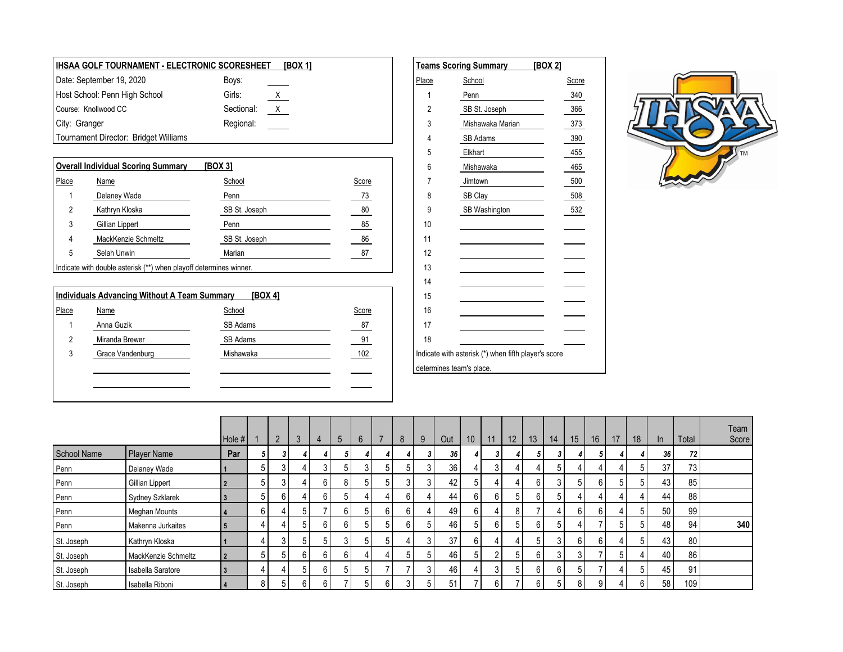| <b>IHSAA GOLF TOURNAMENT - ELECTRONIC SCORESHEET</b> |            | <b>[BOX 1]</b> |       | <b>Teams Scoring Summary</b> | [BOX 2] |
|------------------------------------------------------|------------|----------------|-------|------------------------------|---------|
| Date: September 19, 2020                             | Boys:      |                | Place | School                       | Score   |
| Host School: Penn High School                        | Girls:     | <u>X</u>       |       | Penn                         | 340     |
| Course: Knollwood CC                                 | Sectional: |                |       | SB St. Joseph                | 366     |
| City: Granger                                        | Regional:  |                |       | Mishawaka Marian             | 373     |
| Tournament Director: Bridget Williams                |            |                |       | SB Adams                     | 390     |

|       | <b>Overall Individual Scoring Summary</b>                          | [BOX 3]       |       |          | Mishawaka            | 465 |
|-------|--------------------------------------------------------------------|---------------|-------|----------|----------------------|-----|
| Place | Name                                                               | School        | Score |          | Jimtown              | 500 |
|       | Delaney Wade                                                       | Penn          | 73    |          | SB Clay              | 508 |
|       | Kathryn Kloska                                                     | SB St. Joseph | 80    |          | <b>SB Washington</b> | 532 |
|       | Gillian Lippert                                                    | Penn          | 85    | 10       |                      |     |
| 4     | MackKenzie Schmeltz                                                | SB St. Joseph | 86    | -14      |                      |     |
| 5     | Selah Unwin                                                        | Marian        | 87    | 12       |                      |     |
|       | Indicate with double asterisk (**) when playoff determines winner. |               |       | 12<br>IJ |                      |     |

|       | <b>Individuals Advancing Without A Team Summary</b> | [BOX 4]   |       | 15                                                   |
|-------|-----------------------------------------------------|-----------|-------|------------------------------------------------------|
| Place | <b>Name</b>                                         | School    | Score | 16                                                   |
|       | Anna Guzik                                          | SB Adams  | 87    | 17                                                   |
|       | Miranda Brewer                                      | SB Adams  | 91    | 18                                                   |
|       | Grace Vandenburg                                    | Mishawaka | 102   | Indicate with asterisk (*) when fifth player's score |
|       |                                                     |           |       | determines team's place.                             |
|       |                                                     |           |       |                                                      |
|       |                                                     |           |       |                                                      |

|                          | Teams Scoring Summary [BOX 2]                        |       |
|--------------------------|------------------------------------------------------|-------|
| <u>Place</u>             | School                                               | Score |
| 1                        | Penn                                                 | 340   |
| 2                        | SB St. Joseph                                        | 366   |
| 3                        | Mishawaka Marian                                     | 373   |
| 4                        | SB Adams                                             | 390   |
| 5                        | Elkhart                                              | 455   |
| 6                        | Mishawaka                                            | 465   |
| $\overline{7}$           | Jimtown                                              | 500   |
| 8                        | SB Clay                                              | 508   |
| 9                        | SB Washington                                        | 532   |
| 10                       |                                                      |       |
| 11                       |                                                      |       |
| 12                       |                                                      |       |
| 13                       |                                                      |       |
| 14                       |                                                      |       |
| 15                       |                                                      |       |
| 16                       |                                                      |       |
| 17                       |                                                      |       |
| 18                       |                                                      |       |
|                          | Indicate with asterisk (*) when fifth player's score |       |
| determines team's place. |                                                      |       |



|             |                     | Hole # |             | $\overline{2}$ | 3 | $\overline{4}$ | 5                      | $6\phantom{1}$ |   | 8 | 9      | Out | 10 | 11 | 12 <sup>7</sup>          | 13 | 14 | 15             | 16 | 17 | 18 | ln | Total           | Team<br>Score |
|-------------|---------------------|--------|-------------|----------------|---|----------------|------------------------|----------------|---|---|--------|-----|----|----|--------------------------|----|----|----------------|----|----|----|----|-----------------|---------------|
| School Name | Player Name         | Par    |             | 3              |   |                |                        |                |   |   |        | 36  |    |    |                          |    | 3  |                | 5  |    |    | 36 | 72              |               |
| Penn        | Delaney Wade        |        | 5           | 3 <sub>1</sub> |   |                | 5                      |                |   |   | $\sim$ | 36  |    |    | $\overline{4}$           |    | 5  |                |    | 4  |    | 37 | 73              |               |
| Penn        | Gillian Lippert     |        | 5           | 3              |   | 6              | 8                      |                |   |   | C      | 42  | 5  |    | 4                        |    | 3  |                |    | 5  |    | 43 | 85              |               |
| Penn        | Sydney Szklarek     |        | 5           | 6 <sub>1</sub> |   |                |                        |                |   |   |        | 44  | 6  | 61 | 5                        |    | 5  |                |    | 4  |    | 44 | 88              |               |
| Penn        | Meghan Mounts       |        | 6           | 4              |   |                | $\sim$<br><sub>b</sub> |                |   |   |        | 49  | 6  |    | 8                        |    |    | 6 I            |    |    |    | 50 | 99              |               |
| Penn        | Makenna Jurkaites   |        |             | 4              |   | 6              | 6                      |                |   |   |        | 46  | 5  | h  | 5                        |    | 5  |                |    | 5  |    | 48 | 94              | 340           |
| St. Joseph  | Kathryn Kloska      |        |             | 3              |   |                |                        | h.             |   |   | $\sim$ | 37  | 6  |    | 4                        |    | 3  | 6 <sup>1</sup> |    | 4  |    | 43 | 80 <sub>1</sub> |               |
| St. Joseph  | MackKenzie Schmeltz | l 2    | $5^{\circ}$ | 5              | h | 6              | 6                      |                |   |   | 5      | 46  | 5  |    | 5                        |    | 3  | 3              |    | 5  |    | 40 | 86              |               |
| St. Joseph  | Isabella Saratore   | l 3    |             | 4              |   | 6              | 5                      | 5              |   |   | $\sim$ | 46  |    |    | 5                        |    | 6  | $5^{\circ}$    |    | 4  |    | 45 | 91              |               |
| St. Joseph  | Isabella Riboni     | l 4    | 8           | 5              | 6 | 6              |                        | 5              | 6 |   | 5      | 51  |    | b  | $\overline{\phantom{a}}$ | 6  | 5  | 8 <sub>1</sub> | 9  |    |    | 58 | 109             |               |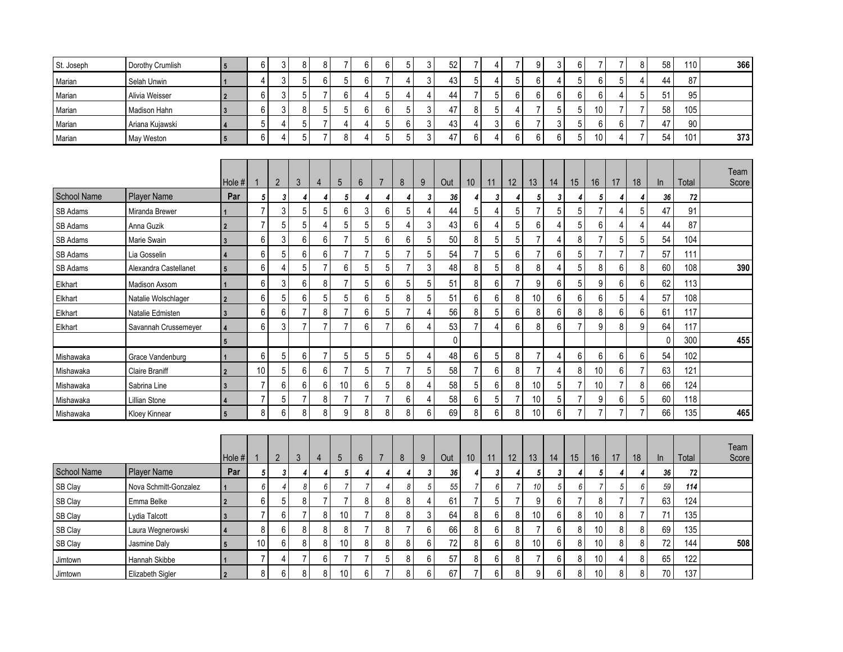| St. Joseph         | Dorothy Crumlish      | $5\phantom{.0}$         | 6              | 3              | 8              | 8              | $\overline{7}$ | 6                | 6              | 5              | 3                | 52     | $\overline{7}$   | 4              | $\overline{7}$ | 9                | 3              | $6\phantom{1}$   | $\overline{7}$   | $\overline{7}$   | 8              | 58           | 110   | 366   |
|--------------------|-----------------------|-------------------------|----------------|----------------|----------------|----------------|----------------|------------------|----------------|----------------|------------------|--------|------------------|----------------|----------------|------------------|----------------|------------------|------------------|------------------|----------------|--------------|-------|-------|
| Marian             | Selah Unwin           |                         | $\overline{4}$ | 3              | 5              | 6              | $\overline{5}$ | $6\phantom{1}$   | $\overline{7}$ | 4              | $\mathfrak{Z}$   | 43     | 5                | $\overline{4}$ | 5              | 6                | 4              | $\overline{5}$   | $6\,$            | $\sqrt{5}$       | 4              | 44           | 87    |       |
| Marian             | Alivia Weisser        | $\overline{2}$          | 6              | 3              | 5              | $\overline{7}$ | $\,6\,$        | 4                | 5              | 4              | $\overline{4}$   | 44     | $\overline{7}$   | 5              | 6              | 6                | 6              | $6\phantom{1}$   | $6\phantom{1}$   | $\overline{4}$   | 5              | 51           | 95    |       |
| Marian             | Madison Hahn          | $\mathbf{3}$            | 6              | 3              | 8              | 5              | 5              | $\boldsymbol{6}$ | 6              | 5              | $\mathsf 3$      | 47     | $\bf 8$          | 5              | 4              | 7                | 5              | 5                | 10               | $\overline{7}$   | $\overline{7}$ | 58           | 105   |       |
| Marian             | Ariana Kujawski       | $\overline{\mathbf{A}}$ | 5              | 4              | 5              | $\overline{7}$ | $\overline{4}$ | 4                | 5              | 6              | $\sqrt{3}$       | 43     | $\overline{4}$   | 3              | 6              | $\overline{7}$   | 3              | 5                | $6\phantom{1}$   | 6                | $\overline{7}$ | 47           | 90    |       |
| Marian             | May Weston            | $5\overline{5}$         | 6              | $\overline{4}$ | 5              | $\overline{7}$ | 8              | 4                | 5              | 5              | $\overline{3}$   | 47     | $6\phantom{a}$   | 4              | 6              | 6                | 6              | 5                | 10               | $\overline{4}$   | $\overline{7}$ | 54           | 101   | 373   |
|                    |                       |                         |                |                |                |                |                |                  |                |                |                  |        |                  |                |                |                  |                |                  |                  |                  |                |              |       |       |
|                    |                       |                         |                |                |                |                |                |                  |                |                |                  |        |                  |                |                |                  |                |                  |                  |                  |                |              |       | Team  |
|                    |                       | Hole #                  |                | $\overline{2}$ | 3              | $\overline{4}$ | 5              | $6\phantom{1}$   | $\overline{7}$ | 8              | 9                | Out    | 10 <sup>°</sup>  | 11             | 12             | 13               | 14             | 15               | 16               | 17               | 18             | In           | Total | Score |
| <b>School Name</b> | <b>Player Name</b>    | Par                     | 5              | 3              | 4              | 4              | 5              | 4                | $\overline{4}$ | 4              | 3                | 36     | 4                | 3              | 4              | 5                | 3              | 4                | 5                | 4                | 4              | 36           | 72    |       |
| SB Adams           | Miranda Brewer        |                         | $\overline{7}$ | 3              | 5              | 5              | $\,6\,$        | 3                | 6              | 5              | $\overline{4}$   | 44     | 5                | $\overline{4}$ | $\mathbf 5$    | $\overline{7}$   | 5              | $\mathbf 5$      | $\overline{7}$   | 4                | 5              | 47           | 91    |       |
| SB Adams           | Anna Guzik            | $\overline{2}$          | $\overline{7}$ | 5              | 5              | 4              | 5              | 5                | $\sqrt{5}$     | 4              | 3                | 43     | $\boldsymbol{6}$ | 4              | 5              | 6                | 4              | 5                | 6                | 4                | 4              | 44           | 87    |       |
| SB Adams           | Marie Swain           | $\mathbf{3}$            | 6              | 3              | 6              | $6\,$          | $\overline{7}$ | 5                | 6              | 6              | $\overline{5}$   | 50     | $\bf 8$          | 5              | 5              | $\overline{7}$   | 4              | 8                | $\overline{7}$   | 5                | 5              | 54           | 104   |       |
| SB Adams           | Lia Gosselin          | $\overline{\mathbf{A}}$ | 6              | 5              | 6              | 6              | $\overline{7}$ | $\overline{7}$   | 5              | $\overline{7}$ | $\overline{5}$   | 54     | $\overline{7}$   | 5              | 6              | $\overline{7}$   | 6              | $\overline{5}$   | $\overline{7}$   | $\overline{7}$   | $\overline{7}$ | 57           | 111   |       |
| SB Adams           | Alexandra Castellanet | $5\overline{)}$         | 6              | $\overline{4}$ | $\overline{5}$ | $\overline{7}$ | $6\phantom{a}$ | 5                | 5              | $\overline{7}$ | $\mathbf{3}$     | 48     | $\bf 8$          | 5              | 8              | 8                | $\overline{4}$ | $\overline{5}$   | $\bf 8$          | $\boldsymbol{6}$ | 8              | 60           | 108   | 390   |
| Elkhart            | Madison Axsom         |                         | 6              | $\sqrt{3}$     | 6              | 8              | $\overline{7}$ | 5                | $\,6\,$        | 5              | $\overline{5}$   | 51     | 8                | $\,6\,$        | $\overline{7}$ | $\boldsymbol{9}$ | 6              | $\sqrt{5}$       | $\boldsymbol{9}$ | $\boldsymbol{6}$ | 6              | 62           | 113   |       |
| Elkhart            | Natalie Wolschlager   | $\overline{2}$          | 6              | 5              | 6              | 5              | $\sqrt{5}$     | $6\phantom{1}$   | $\sqrt{5}$     | 8              | $\overline{5}$   | 51     | $6\phantom{a}$   | 6              | 8              | $10$             | 6              | $\boldsymbol{6}$ | $6\phantom{1}$   | $\sqrt{5}$       | 4              | 57           | 108   |       |
| Elkhart            | Natalie Edmisten      | $\mathbf{3}$            | 6              | 6              | $\overline{7}$ | 8              | $\overline{7}$ | 6                | 5              | $\overline{7}$ | 4                | 56     | 8                | 5              | 6              | 8                | 6              | 8                | 8                | $6\phantom{1}6$  | 6              | 61           | 117   |       |
| Elkhart            | Savannah Crussemeyer  | $\overline{4}$          | 6              | 3              | 7              | $\overline{7}$ | $\overline{7}$ | 6                | $\overline{7}$ | 6              | $\overline{4}$   | 53     | $\overline{7}$   | $\overline{4}$ | 6              | 8                | 6              | 7                | 9                | 8                | 9              | 64           | 117   |       |
|                    |                       | $5\phantom{.0}$         |                |                |                |                |                |                  |                |                |                  | 0      |                  |                |                |                  |                |                  |                  |                  |                | $\mathbf{0}$ | 300   | 455   |
| Mishawaka          | Grace Vandenburg      |                         | 6              | $\sqrt{5}$     | 6              | $\overline{7}$ | $\mathbf 5$    | 5                | 5              | 5              | $\overline{4}$   | 48     | $\boldsymbol{6}$ | 5              | 8              | $\overline{7}$   | 4              | 6                | 6                | $\,6\,$          | 6              | 54           | 102   |       |
| Mishawaka          | <b>Claire Braniff</b> | $\overline{2}$          | 10             | 5              | 6              | 6              | $\overline{7}$ | 5                | $\overline{7}$ | $\overline{7}$ | $\overline{5}$   | 58     | $\overline{7}$   | 6              | 8              | $\overline{7}$   | 4              | $\bf 8$          | 10               | 6                | $\overline{7}$ | 63           | 121   |       |
| Mishawaka          | Sabrina Line          | $\overline{3}$          | $\overline{7}$ | 6              | 6              | 6              | 10             | $\boldsymbol{6}$ | $\sqrt{5}$     | 8              | 4                | 58     | 5                | 6              | 8              | 10               | 5              | $\overline{7}$   | 10               | $\overline{7}$   | 8              | 66           | 124   |       |
| <u>Mishawaka</u>   | <b>Lillian Stone</b>  | $\Delta$                | $\overline{7}$ | 5              | $\overline{7}$ | 8              | $\overline{7}$ | $\overline{7}$   | $\overline{7}$ | 6              | $\overline{4}$   | 58     | 6                | $\overline{5}$ | $\overline{7}$ | 10               | 5              | $\overline{7}$   | 9                | 6                | 5              | 60           | 118   |       |
| Mishawaka          | Kloey Kinnear         | $\overline{5}$          | 8              | $6\phantom{1}$ | 8              | 8              | 9              | 8                | 8              | 8              | $6\phantom{1}$   | 69     | 8                | $6\phantom{1}$ | 8              | 10               | 6              | $\overline{7}$   | $\overline{7}$   | $\overline{7}$   | $\overline{7}$ | 66           | 135   | 465   |
|                    |                       |                         |                |                |                |                |                |                  |                |                |                  |        |                  |                |                |                  |                |                  |                  |                  |                |              |       |       |
|                    |                       |                         |                |                |                |                |                |                  |                |                |                  |        |                  |                |                |                  |                |                  |                  |                  |                |              |       | Team  |
|                    |                       | Hole #                  |                | $\overline{2}$ | $\mathfrak{Z}$ | 4              | 5              | 6                | $\overline{7}$ | $\bf 8$        | 9                | Out    | 10               | 11             | 12             | 13               | 14             | 15               | 16 <sup>1</sup>  | 17               | $18$           | In           | Total | Score |
| School Name        | <b>Player Name</b>    | Par                     | 5              | 3              | 4              | 4              | 5              | 4                | 4              | 4              | 3                | 36     | 4                | 3              | 4              | 5                | 3              | 4                | 5                | 4                | 4              | 36           | 72    |       |
| SB Clay            | Nova Schmitt-Gonzalez |                         | 6              | $\overline{4}$ | 8              | 6              | 7              | $\overline{7}$   | $\overline{4}$ | 8              | $\sqrt{5}$       | $55\,$ | $\overline{7}$   | 6              | $\overline{7}$ | 10               | $\sqrt{5}$     | 6                | $\overline{7}$   | $\sqrt{5}$       | 6              | 59           | 114   |       |
| SB Clay            | Emma Belke            | $\overline{2}$          | 6              | $\sqrt{5}$     | $\bf 8$        | $\overline{7}$ | $\overline{7}$ | $\bf 8$          | $\bf 8$        | 8              | 4                | 61     | $\overline{7}$   | $\sqrt{5}$     | $\overline{7}$ | $\boldsymbol{9}$ | 6              | $\overline{7}$   | $\bf 8$          | $\overline{7}$   | $\overline{7}$ | 63           | 124   |       |
| SB Clay            | Lydia Talcott         | $\overline{3}$          | $\overline{7}$ | 6              | $\overline{7}$ | 8              | 10             | $\overline{7}$   | 8              | 8              | $\mathfrak{z}$   | 64     | 8                | 6              | 8              | $10$             | 6              | $\bf 8$          | 10               | $\bf 8$          | $\overline{7}$ | 71           | 135   |       |
| SB Clay            | Laura Wegnerowski     | $\overline{\mathbf{A}}$ | 8              | 6              | 8              | 8              | $\bf 8$        | $\overline{7}$   | 8              | $\overline{7}$ | $\boldsymbol{6}$ | 66     | 8                | 6              | 8              | $\overline{7}$   | 6              | $\bf 8$          | 10               | $\bf 8$          | 8              | 69           | 135   |       |
| SB Clay            | Jasmine Daly          | $5\phantom{.0}$         | 10             | 6              | 8              | 8              | 10             | 8                | 8              | 8              | $6\phantom{1}$   | $72\,$ | $\bf 8$          | 6              | 8              | $10$             | 6              | 8                | 10               | 8                | 8              | 72           | 144   | 508   |
| Jimtown            | Hannah Skibbe         |                         | $\overline{7}$ | 4              | $\overline{7}$ | 6              | $\overline{7}$ | $\overline{7}$   | 5              | 8              | 6                | 57     | 8                | 6              | 8              | $\overline{7}$   | 6              | 8                | 10               | 4                | 8              | 65           | 122   |       |
| Jimtown            | Elizabeth Sigler      | $\overline{2}$          | 8              | 6              | 8              | 8              | 10             | 6                | $\overline{7}$ | 8              | 6                | 67     | $\overline{7}$   | 6              | 8              | 9                | 6              | 8                | 10               | 8                | 8              | 70           | 137   |       |
|                    |                       |                         |                |                |                |                |                |                  |                |                |                  |        |                  |                |                |                  |                |                  |                  |                  |                |              |       |       |